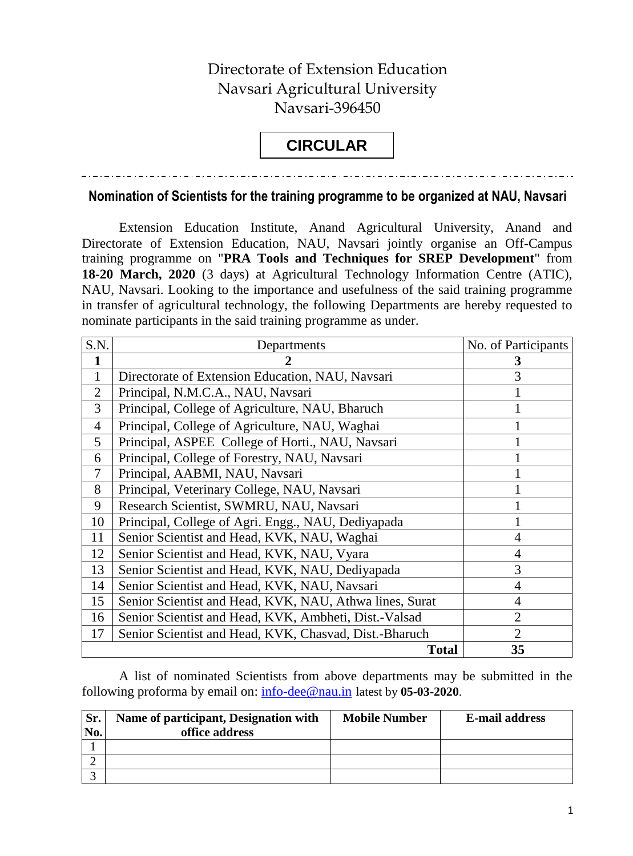## Directorate of Extension Education Navsari Agricultural University Navsari-396450

## **CIRCULAR**

## **Nomination of Scientists for the training programme to be organized at NAU, Navsari**

Extension Education Institute, Anand Agricultural University, Anand and Directorate of Extension Education, NAU, Navsari jointly organise an Off-Campus training programme on "**PRA Tools and Techniques for SREP Development**" from **18-20 March, 2020** (3 days) at Agricultural Technology Information Centre (ATIC), NAU, Navsari. Looking to the importance and usefulness of the said training programme in transfer of agricultural technology, the following Departments are hereby requested to nominate participants in the said training programme as under.

| S.N.           | Departments                                             | No. of Participants |
|----------------|---------------------------------------------------------|---------------------|
|                |                                                         | 3                   |
|                | Directorate of Extension Education, NAU, Navsari        | 3                   |
| $\overline{2}$ | Principal, N.M.C.A., NAU, Navsari                       |                     |
| 3              | Principal, College of Agriculture, NAU, Bharuch         |                     |
| $\overline{4}$ | Principal, College of Agriculture, NAU, Waghai          |                     |
| 5              | Principal, ASPEE College of Horti., NAU, Navsari        |                     |
| 6              | Principal, College of Forestry, NAU, Navsari            |                     |
| $\tau$         | Principal, AABMI, NAU, Navsari                          |                     |
| 8              | Principal, Veterinary College, NAU, Navsari             |                     |
| 9              | Research Scientist, SWMRU, NAU, Navsari                 |                     |
| 10             | Principal, College of Agri. Engg., NAU, Dediyapada      |                     |
| 11             | Senior Scientist and Head, KVK, NAU, Waghai             | $\overline{4}$      |
| 12             | Senior Scientist and Head, KVK, NAU, Vyara              | $\overline{4}$      |
| 13             | Senior Scientist and Head, KVK, NAU, Dediyapada         | 3                   |
| 14             | Senior Scientist and Head, KVK, NAU, Navsari            | $\overline{4}$      |
| 15             | Senior Scientist and Head, KVK, NAU, Athwa lines, Surat | 4                   |
| 16             | Senior Scientist and Head, KVK, Ambheti, Dist.-Valsad   | $\overline{2}$      |
| 17             | Senior Scientist and Head, KVK, Chasvad, Dist.-Bharuch  | $\overline{2}$      |
|                | <b>Total</b>                                            | 35                  |

A list of nominated Scientists from above departments may be submitted in the following proforma by email on: [info-dee@nau.in](mailto:info-dee@nau.in) latest by **05-03-2020**.

| Sr.<br>No. | Name of participant, Designation with<br>office address | <b>Mobile Number</b> | <b>E-mail address</b> |
|------------|---------------------------------------------------------|----------------------|-----------------------|
|            |                                                         |                      |                       |
|            |                                                         |                      |                       |
|            |                                                         |                      |                       |